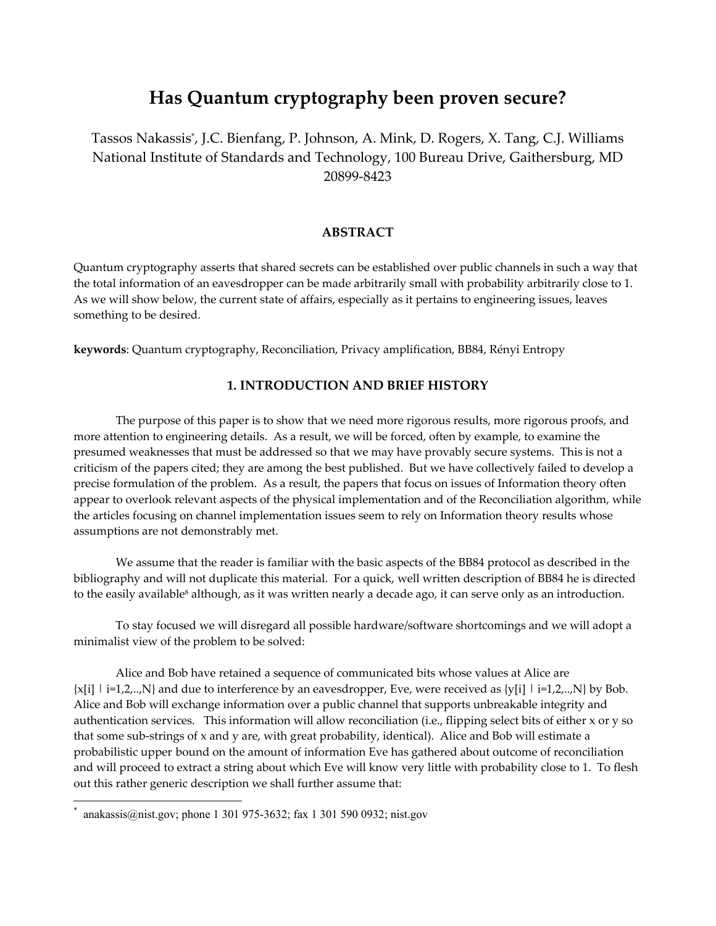# **Has Quantum cryptography been proven secure?**

Tassos Nakassis\* , J.C. Bienfang, P. Johnson, A. Mink, D. Rogers, X. Tang, C.J. Williams National Institute of Standards and Technology, 100 Bureau Drive, Gaithersburg, MD 20899-8423

#### **ABSTRACT**

Quantum cryptography asserts that shared secrets can be established over public channels in such a way that the total information of an eavesdropper can be made arbitrarily small with probability arbitrarily close to 1. As we will show below, the current state of affairs, especially as it pertains to engineering issues, leaves something to be desired.

**keywords**: Quantum cryptography, Reconciliation, Privacy amplification, BB84, Rényi Entropy

# **1. INTRODUCTION AND BRIEF HISTORY**

Τhe purpose of this paper is to show that we need more rigorous results, more rigorous proofs, and more attention to engineering details. As a result, we will be forced, often by example, to examine the presumed weaknesses that must be addressed so that we may have provably secure systems. This is not a criticism of the papers cited; they are among the best published. But we have collectively failed to develop a precise formulation of the problem. As a result, the papers that focus on issues of Information theory often appear to overlook relevant aspects of the physical implementation and of the Reconciliation algorithm, while the articles focusing on channel implementation issues seem to rely on Information theory results whose assumptions are not demonstrably met.

 We assume that the reader is familiar with the basic aspects of the BB84 protocol as described in the bibliography and will not duplicate this material. For a quick, well written description of BB84 he is directed to the easily available<sup>8</sup> although, as it was written nearly a decade ago, it can serve only as an introduction.

To stay focused we will disregard all possible hardware/software shortcomings and we will adopt a minimalist view of the problem to be solved:

Alice and Bob have retained a sequence of communicated bits whose values at Alice are  $\{x[i] \mid i=1,2,..,N\}$  and due to interference by an eavesdropper, Eve, were received as  $\{y[i] \mid i=1,2,..,N\}$  by Bob. Alice and Bob will exchange information over a public channel that supports unbreakable integrity and authentication services. This information will allow reconciliation (i.e., flipping select bits of either x or y so that some sub-strings of x and y are, with great probability, identical). Alice and Bob will estimate a probabilistic upper bound on the amount of information Eve has gathered about outcome of reconciliation and will proceed to extract a string about which Eve will know very little with probability close to 1. To flesh out this rather generic description we shall further assume that:

 $\overline{a}$ 

<sup>\*</sup> anakassis@nist.gov; phone 1 301 975-3632; fax 1 301 590 0932; nist.gov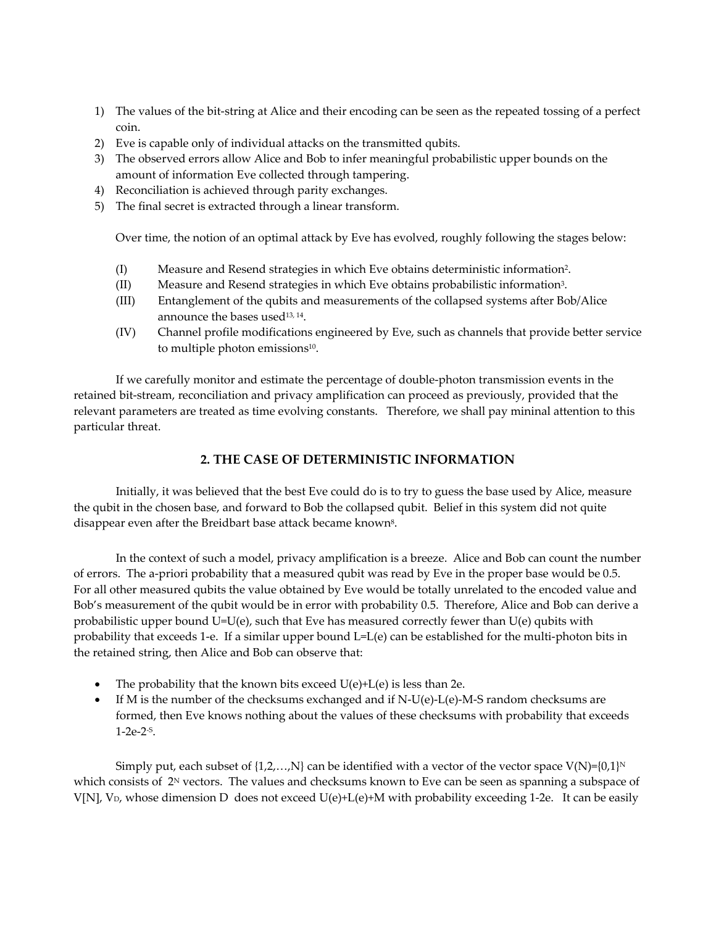- 1) The values of the bit-string at Alice and their encoding can be seen as the repeated tossing of a perfect coin.
- 2) Eve is capable only of individual attacks on the transmitted qubits.
- 3) The observed errors allow Alice and Bob to infer meaningful probabilistic upper bounds on the amount of information Eve collected through tampering.
- 4) Reconciliation is achieved through parity exchanges.
- 5) The final secret is extracted through a linear transform.

Over time, the notion of an optimal attack by Eve has evolved, roughly following the stages below:

- (I) Measure and Resend strategies in which Eve obtains deterministic information2.
- (II) Measure and Resend strategies in which Eve obtains probabilistic information3.
- (III) Entanglement of the qubits and measurements of the collapsed systems after Bob/Alice announce the bases used<sup>13, 14</sup>.
- (IV) Channel profile modifications engineered by Eve, such as channels that provide better service to multiple photon emissions<sup>10</sup>.

If we carefully monitor and estimate the percentage of double-photon transmission events in the retained bit-stream, reconciliation and privacy amplification can proceed as previously, provided that the relevant parameters are treated as time evolving constants. Therefore, we shall pay mininal attention to this particular threat.

## **2. THE CASE OF DETERMINISTIC INFORMATION**

Initially, it was believed that the best Eve could do is to try to guess the base used by Alice, measure the qubit in the chosen base, and forward to Bob the collapsed qubit. Belief in this system did not quite disappear even after the Breidbart base attack became known<sup>8</sup>.

In the context of such a model, privacy amplification is a breeze. Alice and Bob can count the number of errors. The a-priori probability that a measured qubit was read by Eve in the proper base would be 0.5. For all other measured qubits the value obtained by Eve would be totally unrelated to the encoded value and Bob's measurement of the qubit would be in error with probability 0.5. Therefore, Alice and Bob can derive a probabilistic upper bound  $U=U(e)$ , such that Eve has measured correctly fewer than  $U(e)$  qubits with probability that exceeds 1-e. If a similar upper bound L=L(e) can be established for the multi-photon bits in the retained string, then Alice and Bob can observe that:

- The probability that the known bits exceed  $U(e)+L(e)$  is less than 2e.
- If M is the number of the checksums exchanged and if  $N-U(e)-L(e)-M-S$  random checksums are formed, then Eve knows nothing about the values of these checksums with probability that exceeds 1-2e-2-S.

Simply put, each subset of  $\{1,2,...,N\}$  can be identified with a vector of the vector space  $V(N)=[0,1]^N$ which consists of  $2^N$  vectors. The values and checksums known to Eve can be seen as spanning a subspace of V[N], V<sub>D</sub>, whose dimension D does not exceed  $U(e)+L(e)+M$  with probability exceeding 1-2e. It can be easily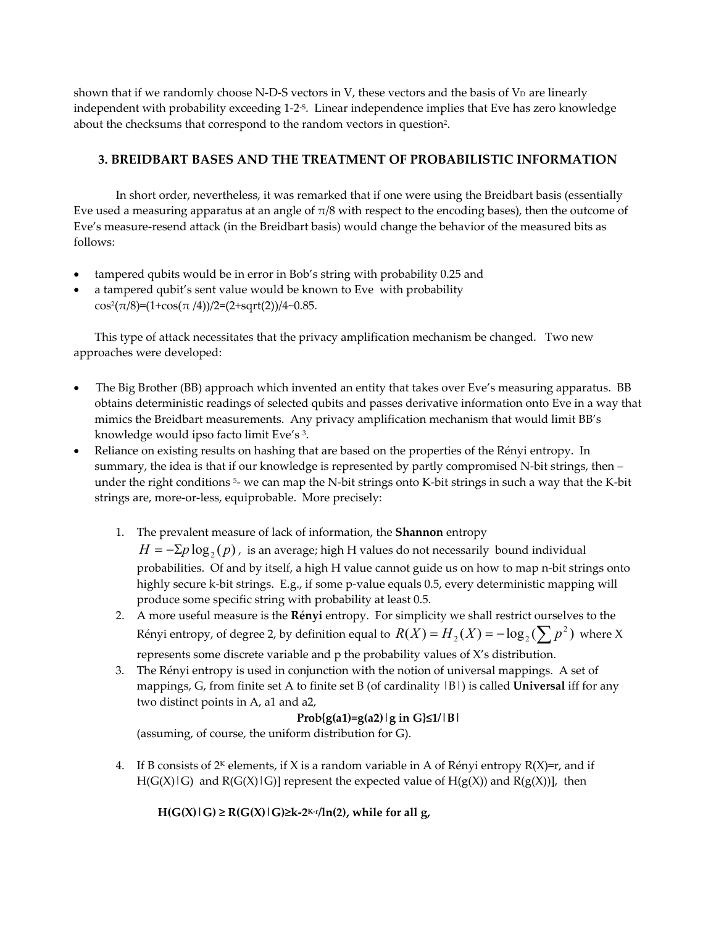shown that if we randomly choose N-D-S vectors in  $V$ , these vectors and the basis of  $V_D$  are linearly independent with probability exceeding 1-2-S. Linear independence implies that Eve has zero knowledge about the checksums that correspond to the random vectors in question2.

# **3. BREIDBART BASES AND THE TREATMENT OF PROBABILISTIC INFORMATION**

In short order, nevertheless, it was remarked that if one were using the Breidbart basis (essentially Eve used a measuring apparatus at an angle of  $\pi/8$  with respect to the encoding bases), then the outcome of Eve's measure-resend attack (in the Breidbart basis) would change the behavior of the measured bits as follows:

- tampered qubits would be in error in Bob's string with probability 0.25 and
- a tampered qubit's sent value would be known to Eve with probability cos<sup>2</sup>( $\pi$ /8)=(1+cos( $\pi$ /4))/2=(2+sqrt(2))/4~0.85.

This type of attack necessitates that the privacy amplification mechanism be changed. Two new approaches were developed:

- The Big Brother (BB) approach which invented an entity that takes over Eve's measuring apparatus. BB obtains deterministic readings of selected qubits and passes derivative information onto Eve in a way that mimics the Breidbart measurements. Any privacy amplification mechanism that would limit BB's knowledge would ipso facto limit Eve's 3.
- Reliance on existing results on hashing that are based on the properties of the Rényi entropy. In summary, the idea is that if our knowledge is represented by partly compromised N-bit strings, then – under the right conditions<sup>5</sup>- we can map the N-bit strings onto K-bit strings in such a way that the K-bit strings are, more-or-less, equiprobable. More precisely:
	- 1. The prevalent measure of lack of information, the **Shannon** entropy  $H = -\Sigma p \log_2(p)$ , is an average; high H values do not necessarily bound individual probabilities. Of and by itself, a high H value cannot guide us on how to map n-bit strings onto highly secure k-bit strings. E.g., if some p-value equals 0.5, every deterministic mapping will produce some specific string with probability at least 0.5.
	- 2. A more useful measure is the **Rényi** entropy. For simplicity we shall restrict ourselves to the Rényi entropy, of degree 2, by definition equal to  $R(X) = H_2(X) = -\log_2(\sum p^2)$  where X represents some discrete variable and p the probability values of X's distribution.
	- 3. The Rényi entropy is used in conjunction with the notion of universal mappings. A set of mappings, G, from finite set A to finite set B (of cardinality |B|) is called **Universal** iff for any two distinct points in A, a1 and a2,

#### **Prob{g(a1)=g(a2)|g in G}≤1/|B|**

(assuming, of course, the uniform distribution for G).

4. If B consists of  $2<sup>K</sup>$  elements, if X is a random variable in A of Rényi entropy R(X)=r, and if  $H(G(X)|G)$  and  $R(G(X)|G)$ ] represent the expected value of  $H(g(X))$  and  $R(g(X))$ ], then

 $H(G(X) | G) \ge R(G(X) | G) \ge k-2^{K-r}/\ln(2)$ , while for all g,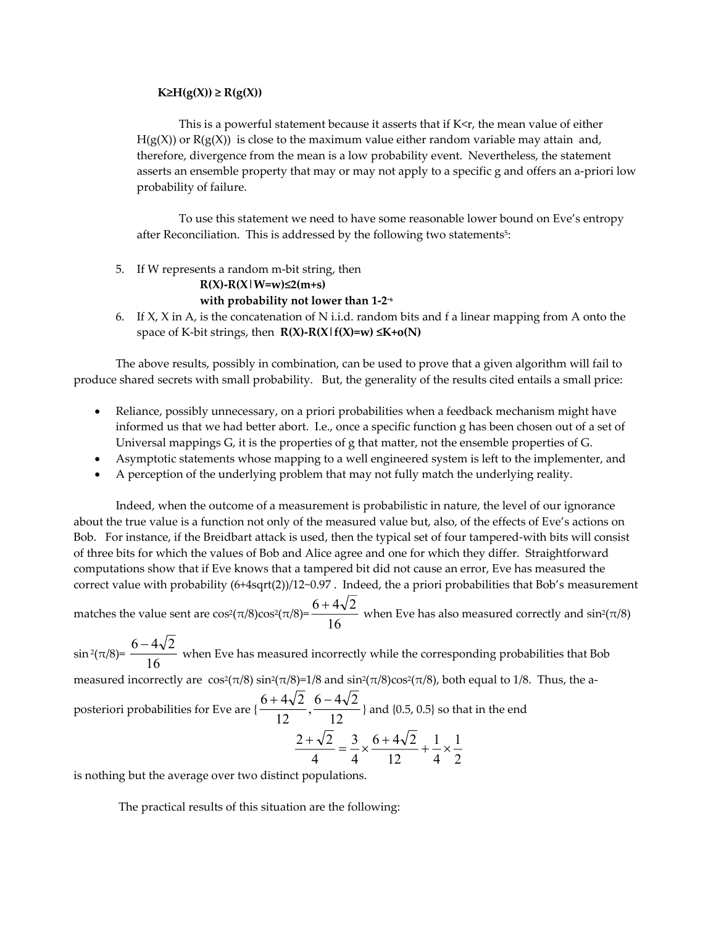#### **K≥H(g(X)) ≥ R(g(X))**

This is a powerful statement because it asserts that if  $K < r$ , the mean value of either  $H(g(X))$  or  $R(g(X))$  is close to the maximum value either random variable may attain and, therefore, divergence from the mean is a low probability event. Nevertheless, the statement asserts an ensemble property that may or may not apply to a specific g and offers an a-priori low probability of failure.

To use this statement we need to have some reasonable lower bound on Eve's entropy after Reconciliation. This is addressed by the following two statements<sup>5</sup>:

5. If W represents a random m-bit string, then

**R(X)-R(X|W=w)≤2(m+s)** 

#### **with probability not lower than 1-2-s**

6. If X, X in A, is the concatenation of N i.i.d. random bits and f a linear mapping from A onto the space of K-bit strings, then **R(X)-R(X|f(X)=w) ≤K+o(N)** 

The above results, possibly in combination, can be used to prove that a given algorithm will fail to produce shared secrets with small probability. But, the generality of the results cited entails a small price:

- Reliance, possibly unnecessary, on a priori probabilities when a feedback mechanism might have informed us that we had better abort. I.e., once a specific function g has been chosen out of a set of Universal mappings G, it is the properties of g that matter, not the ensemble properties of G.
- Asymptotic statements whose mapping to a well engineered system is left to the implementer, and
- A perception of the underlying problem that may not fully match the underlying reality.

Indeed, when the outcome of a measurement is probabilistic in nature, the level of our ignorance about the true value is a function not only of the measured value but, also, of the effects of Eve's actions on Bob. For instance, if the Βreidbart attack is used, then the typical set of four tampered-with bits will consist of three bits for which the values of Bob and Alice agree and one for which they differ. Straightforward computations show that if Eve knows that a tampered bit did not cause an error, Eve has measured the correct value with probability (6+4sqrt(2))/12~0.97 . Indeed, the a priori probabilities that Bob's measurement

matches the value sent are cos<sup>2</sup>( $\pi$ /8)cos<sup>2</sup>( $\pi$ /8)= $\frac{16}{16}$  $6 + 4\sqrt{2}$ when Eve has also measured correctly and  $sin^2(\pi/8)$ 

 $\sin^2(\pi/8) = \frac{16}{\pi}$  $6 - 4\sqrt{2}$  when Eve has measured incorrectly while the corresponding probabilities that Bob measured incorrectly are  $\cos^2(\pi/8)\sin^2(\pi/8)=1/8$  and  $\sin^2(\pi/8)\cos^2(\pi/8)$ , both equal to 1/8. Thus, the aposteriori probabilities for Eve are  $\{\frac{6+4\sqrt{2}}{12}, \frac{6-4\sqrt{2}}{12}\}$  and {0.5, 0.5} so that in the end 2 1 4 1 12  $6 + 4\sqrt{2}$ 4 3 4  $\frac{2+\sqrt{2}}{4} = \frac{3}{4} \times \frac{6+4\sqrt{2}}{4} + \frac{1}{4} \times$ 

is nothing but the average over two distinct populations.

The practical results of this situation are the following: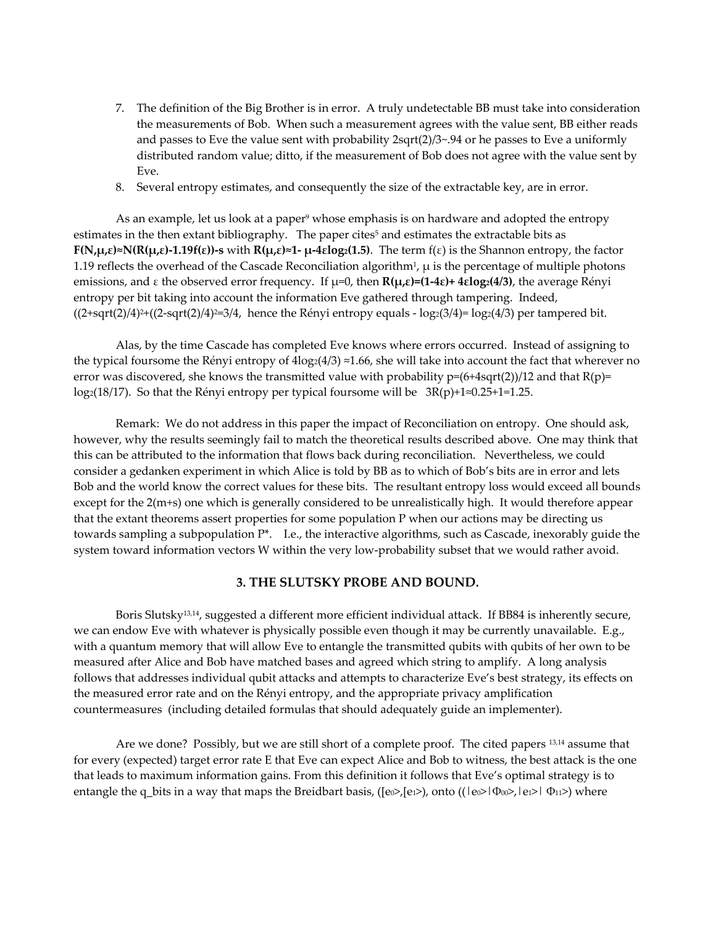- 7. The definition of the Big Brother is in error. A truly undetectable BB must take into consideration the measurements of Bob. When such a measurement agrees with the value sent, BB either reads and passes to Eve the value sent with probability  $2sqrt(2)/3 \sim 0.94$  or he passes to Eve a uniformly distributed random value; ditto, if the measurement of Bob does not agree with the value sent by Eve.
- 8. Several entropy estimates, and consequently the size of the extractable key, are in error.

As an example, let us look at a paper<sup>9</sup> whose emphasis is on hardware and adopted the entropy estimates in the then extant bibliography. The paper cites<sup>5</sup> and estimates the extractable bits as **F(N,µ,ε)≈N(R(µ,ε)-1.19f(ε))-s** with **R(µ,ε)≈1- µ-4εlog2(1.5)**. The term f(ε) is the Shannon entropy, the factor 1.19 reflects the overhead of the Cascade Reconciliation algorithm<sup>1</sup>,  $\mu$  is the percentage of multiple photons emissions, and ε the observed error frequency. If µ=0, then **R(µ,ε)=(1-4ε)+ 4εlog2(4/3)**, the average Rényi entropy per bit taking into account the information Eve gathered through tampering. Indeed,  $((2+sqrt(2)/4)^{2}+(2-sqrt(2)/4)^{2}=3/4$ , hence the Rényi entropy equals -  $log_2(3/4)=log_2(4/3)$  per tampered bit.

Alas, by the time Cascade has completed Eve knows where errors occurred. Instead of assigning to the typical foursome the Rényi entropy of  $4\log(4/3) \approx 1.66$ , she will take into account the fact that wherever no error was discovered, she knows the transmitted value with probability  $p=(6+4sqrt(2))/12$  and that  $R(p)=$ log2(18/17). So that the Rényi entropy per typical foursome will be 3R(p)+1≈0.25+1=1.25.

Remark: We do not address in this paper the impact of Reconciliation on entropy. One should ask, however, why the results seemingly fail to match the theoretical results described above. One may think that this can be attributed to the information that flows back during reconciliation. Nevertheless, we could consider a gedanken experiment in which Alice is told by BB as to which of Bob's bits are in error and lets Bob and the world know the correct values for these bits. The resultant entropy loss would exceed all bounds except for the 2(m+s) one which is generally considered to be unrealistically high. It would therefore appear that the extant theorems assert properties for some population P when our actions may be directing us towards sampling a subpopulation  $P^*$ . I.e., the interactive algorithms, such as Cascade, inexorably guide the system toward information vectors W within the very low-probability subset that we would rather avoid.

#### **3. THE SLUTSKY PROBE AND BOUND.**

Boris Slutsky13,14, suggested a different more efficient individual attack. If BB84 is inherently secure, we can endow Eve with whatever is physically possible even though it may be currently unavailable. E.g., with a quantum memory that will allow Eve to entangle the transmitted qubits with qubits of her own to be measured after Alice and Bob have matched bases and agreed which string to amplify. A long analysis follows that addresses individual qubit attacks and attempts to characterize Eve's best strategy, its effects on the measured error rate and on the Rényi entropy, and the appropriate privacy amplification countermeasures (including detailed formulas that should adequately guide an implementer).

Are we done? Possibly, but we are still short of a complete proof. The cited papers 13,14 assume that for every (expected) target error rate E that Eve can expect Alice and Bob to witness, the best attack is the one that leads to maximum information gains. From this definition it follows that Eve's optimal strategy is to entangle the q\_bits in a way that maps the Breidbart basis, ([eo>,[ei>), onto (( $|e_0\rangle$ = $|\Phi_{00}\rangle$ ,  $|e_1\rangle$  = $|\Phi_{11}\rangle$ ) where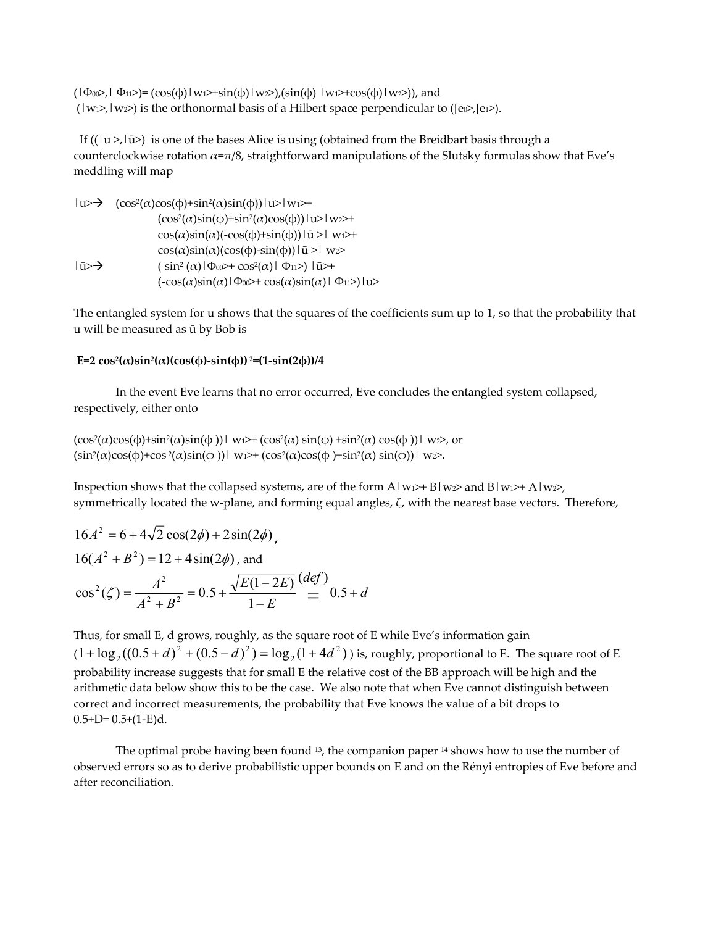$(|\Phi_{00}\rangle, |\Phi_{11}\rangle) = (\cos(\phi)|w_1\rangle + \sin(\phi)|w_2\rangle), (\sin(\phi)|w_1\rangle + \cos(\phi)|w_2\rangle),$  and  $(|w_1\rangle, |w_2\rangle)$  is the orthonormal basis of a Hilbert space perpendicular to ( $[e_0\rangle, [e_1\rangle)$ .

If  $((|u \rangle, |\bar{u}\rangle)$  is one of the bases Alice is using (obtained from the Breidbart basis through a counterclockwise rotation  $\alpha = \pi/8$ , straightforward manipulations of the Slutsky formulas show that Eve's meddling will map

$$
|u>\rightarrow (cos^{2}(\alpha)cos(\varphi)+sin^{2}(\alpha)sin(\varphi))|u>|w1>+\n (cos^{2}(\alpha)sin(\varphi)+sin^{2}(\alpha)cos(\varphi))|u>|w2>+\n cos(\alpha)sin(\alpha)(-cos(\varphi)+sin(\varphi))|u>|w1>+\n cos(\alpha)sin(\alpha)(cos(\varphi)-sin(\varphi))|u>|w2>
$$
\n
$$
|u>\rightarrow (sin^{2}(\alpha)|\Phi_{00}\rightarrow +cos^{2}(\alpha)|\Phi_{11}\rightarrow)|u>+\n (-cos(\alpha)sin(\alpha)|\Phi_{00}\rightarrow +cos(\alpha)sin(\alpha)|\Phi_{11}\rightarrow)|u>
$$

The entangled system for u shows that the squares of the coefficients sum up to 1, so that the probability that u will be measured as ū by Bob is

#### **E=2**  $cos^2(α)sin^2(α)(cos(φ)-sin(φ)) = (1-sin(2φ))/4$

 In the event Eve learns that no error occurred, Eve concludes the entangled system collapsed, respectively, either onto

```
(\cos^2(\alpha)\cos(\phi) + \sin^2(\alpha)\sin(\phi))|_{W_1} w<sub>1</sub> \rightarrow (\cos^2(\alpha)\sin(\phi) + \sin^2(\alpha)\cos(\phi))|_{W_2}, or
(\sin^2(\alpha)\cos(\phi) + \cos^2(\alpha)\sin(\phi))|_{W_1} \leftrightarrow (\cos^2(\alpha)\cos(\phi) + \sin^2(\alpha)\sin(\phi))|_{W_2}.
```
Inspection shows that the collapsed systems, are of the form  $A|w_1\rangle + B|w_2\rangle$  and  $B|w_1\rangle + A|w_2\rangle$ , symmetrically located the w-plane, and forming equal angles, ζ, with the nearest base vectors. Therefore,

$$
16A2 = 6 + 4\sqrt{2}\cos(2\phi) + 2\sin(2\phi),
$$
  
\n
$$
16(A2 + B2) = 12 + 4\sin(2\phi),
$$
 and  
\n
$$
\cos2(\zeta) = \frac{A2}{A2 + B2} = 0.5 + \frac{\sqrt{E(1 - 2E)}}{1 - E} \frac{(def)}{=} 0.5 + d
$$

Thus, for small E, d grows, roughly, as the square root of E while Eve's information gain  $(1 + \log_2((0.5 + d)^2 + (0.5 - d)^2) = \log_2(1 + 4d^2)$  $2 + \log_2((0.5+d)^2 + (0.5-d)^2) = \log_2(1+4d^2)$ ) is, roughly, proportional to E. The square root of E probability increase suggests that for small E the relative cost of the BB approach will be high and the arithmetic data below show this to be the case. We also note that when Eve cannot distinguish between correct and incorrect measurements, the probability that Eve knows the value of a bit drops to  $0.5+D= 0.5+(1-E)d$ .

The optimal probe having been found  $13$ , the companion paper  $14$  shows how to use the number of observed errors so as to derive probabilistic upper bounds on E and on the Rényi entropies of Eve before and after reconciliation.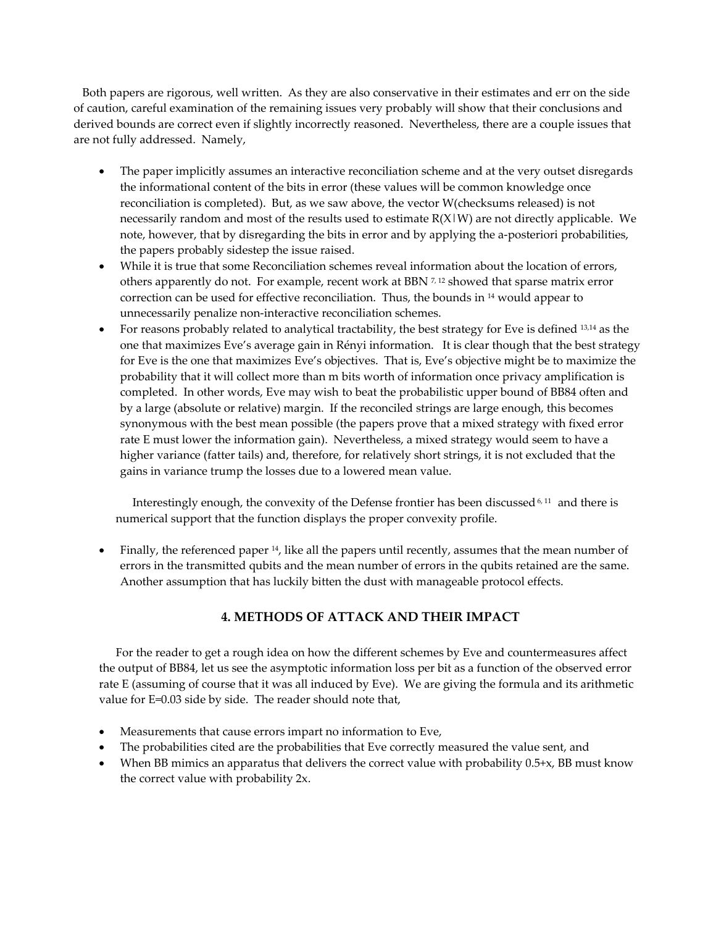Both papers are rigorous, well written. As they are also conservative in their estimates and err on the side of caution, careful examination of the remaining issues very probably will show that their conclusions and derived bounds are correct even if slightly incorrectly reasoned. Nevertheless, there are a couple issues that are not fully addressed. Namely,

- The paper implicitly assumes an interactive reconciliation scheme and at the very outset disregards the informational content of the bits in error (these values will be common knowledge once reconciliation is completed). But, as we saw above, the vector W(checksums released) is not necessarily random and most of the results used to estimate  $R(X|W)$  are not directly applicable. We note, however, that by disregarding the bits in error and by applying the a-posteriori probabilities, the papers probably sidestep the issue raised.
- While it is true that some Reconciliation schemes reveal information about the location of errors, others apparently do not. For example, recent work at BBN  $^{7,12}$  showed that sparse matrix error correction can be used for effective reconciliation. Thus, the bounds in 14 would appear to unnecessarily penalize non-interactive reconciliation schemes.
- For reasons probably related to analytical tractability, the best strategy for Eve is defined 13,14 as the one that maximizes Eve's average gain in Rényi information. It is clear though that the best strategy for Eve is the one that maximizes Eve's objectives. That is, Eve's objective might be to maximize the probability that it will collect more than m bits worth of information once privacy amplification is completed. In other words, Eve may wish to beat the probabilistic upper bound of BB84 often and by a large (absolute or relative) margin. If the reconciled strings are large enough, this becomes synonymous with the best mean possible (the papers prove that a mixed strategy with fixed error rate E must lower the information gain). Nevertheless, a mixed strategy would seem to have a higher variance (fatter tails) and, therefore, for relatively short strings, it is not excluded that the gains in variance trump the losses due to a lowered mean value.

Interestingly enough, the convexity of the Defense frontier has been discussed 6, 11 and there is numerical support that the function displays the proper convexity profile.

• Finally, the referenced paper 14, like all the papers until recently, assumes that the mean number of errors in the transmitted qubits and the mean number of errors in the qubits retained are the same. Another assumption that has luckily bitten the dust with manageable protocol effects.

# **4. METHODS OF ATTACK AND THEIR IMPACT**

For the reader to get a rough idea on how the different schemes by Eve and countermeasures affect the output of BB84, let us see the asymptotic information loss per bit as a function of the observed error rate E (assuming of course that it was all induced by Eve). We are giving the formula and its arithmetic value for E=0.03 side by side. The reader should note that,

- Measurements that cause errors impart no information to Eve,
- The probabilities cited are the probabilities that Eve correctly measured the value sent, and
- When BB mimics an apparatus that delivers the correct value with probability 0.5+x, BB must know the correct value with probability 2x.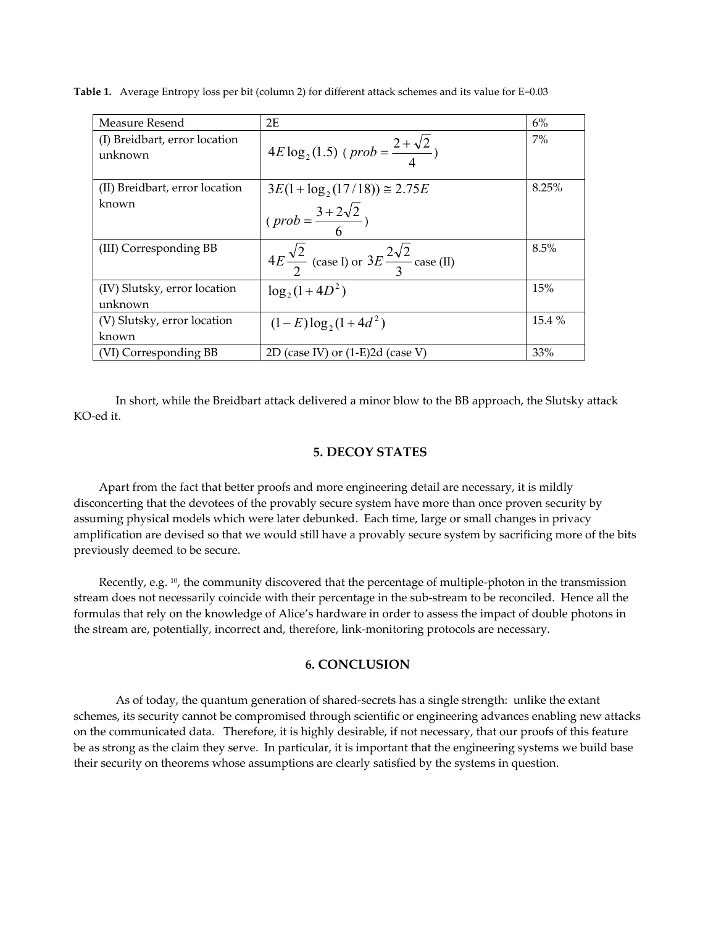| Measure Resend                           | 2E                                                                   | 6%    |
|------------------------------------------|----------------------------------------------------------------------|-------|
| (I) Breidbart, error location<br>unknown | $4E \log_2(1.5)$ ( <i>prob</i> = $\frac{2+\sqrt{2}}{4}$ )            | 7%    |
| (II) Breidbart, error location           | $3E(1 + \log_2(17/18)) \approx 2.75E$                                | 8.25% |
| known                                    | $(\text{prob} = \frac{3 + 2\sqrt{2}}{2})$                            |       |
| (III) Corresponding BB                   | $4E\frac{\sqrt{2}}{2}$ (case I) or $3E\frac{2\sqrt{2}}{3}$ case (II) | 8.5%  |
| (IV) Slutsky, error location<br>unknown  | $\log_2(1+4D^2)$                                                     | 15%   |
| (V) Slutsky, error location              | $(1-E)\log_2(1+4d^2)$                                                | 15.4% |
| known                                    |                                                                      |       |
| (VI) Corresponding BB                    | 2D (case IV) or $(1-E)2d$ (case V)                                   | 33%   |

**Table 1.** Average Entropy loss per bit (column 2) for different attack schemes and its value for E=0.03

In short, while the Breidbart attack delivered a minor blow to the BB approach, the Slutsky attack KO-ed it.

#### **5. DECOY STATES**

Apart from the fact that better proofs and more engineering detail are necessary, it is mildly disconcerting that the devotees of the provably secure system have more than once proven security by assuming physical models which were later debunked. Each time, large or small changes in privacy amplification are devised so that we would still have a provably secure system by sacrificing more of the bits previously deemed to be secure.

Recently, e.g. 10, the community discovered that the percentage of multiple-photon in the transmission stream does not necessarily coincide with their percentage in the sub-stream to be reconciled. Hence all the formulas that rely on the knowledge of Alice's hardware in order to assess the impact of double photons in the stream are, potentially, incorrect and, therefore, link-monitoring protocols are necessary.

## **6. CONCLUSION**

 As of today, the quantum generation of shared-secrets has a single strength: unlike the extant schemes, its security cannot be compromised through scientific or engineering advances enabling new attacks on the communicated data. Therefore, it is highly desirable, if not necessary, that our proofs of this feature be as strong as the claim they serve. In particular, it is important that the engineering systems we build base their security on theorems whose assumptions are clearly satisfied by the systems in question.